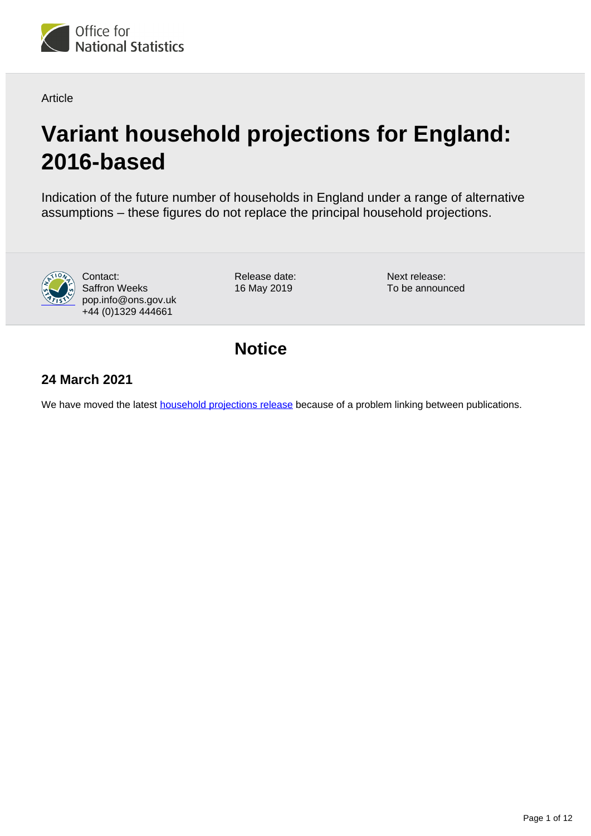

Article

# **Variant household projections for England: 2016-based**

Indication of the future number of households in England under a range of alternative assumptions – these figures do not replace the principal household projections.



Contact: Saffron Weeks pop.info@ons.gov.uk +44 (0)1329 444661

Release date: 16 May 2019

Next release: To be announced

**Notice**

### **24 March 2021**

We have moved the latest **household projections release** because of a problem linking between publications.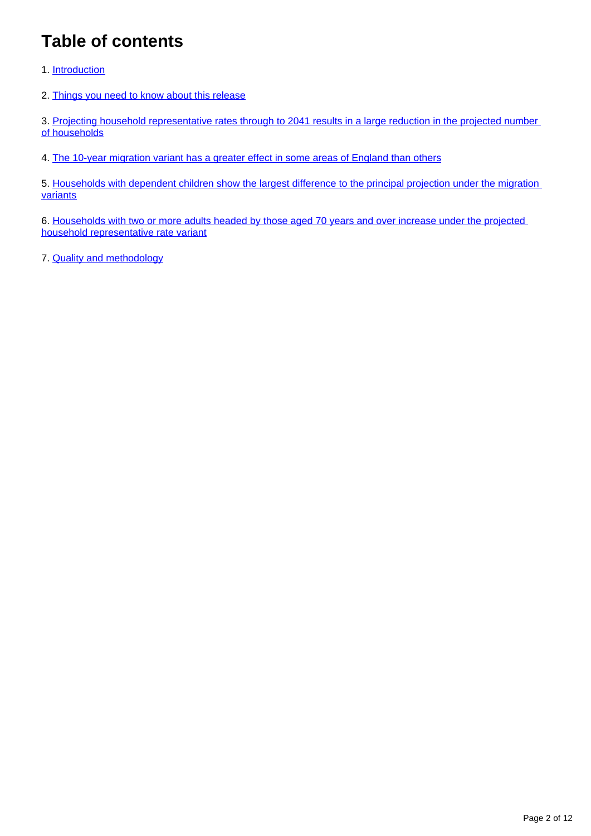## **Table of contents**

- 1. [Introduction](#page-2-0)
- 2. [Things you need to know about this release](#page-2-1)

3. Projecting household representative rates through to 2041 results in a large reduction in the projected number [of households](#page-3-0)

4. [The 10-year migration variant has a greater effect in some areas of England than others](#page-5-0)

5. [Households with dependent children show the largest difference to the principal projection under the migration](#page-8-0)  [variants](#page-8-0)

6. [Households with two or more adults headed by those aged 70 years and over increase under the projected](#page-9-0)  [household representative rate variant](#page-9-0)

7. [Quality and methodology](#page-10-0)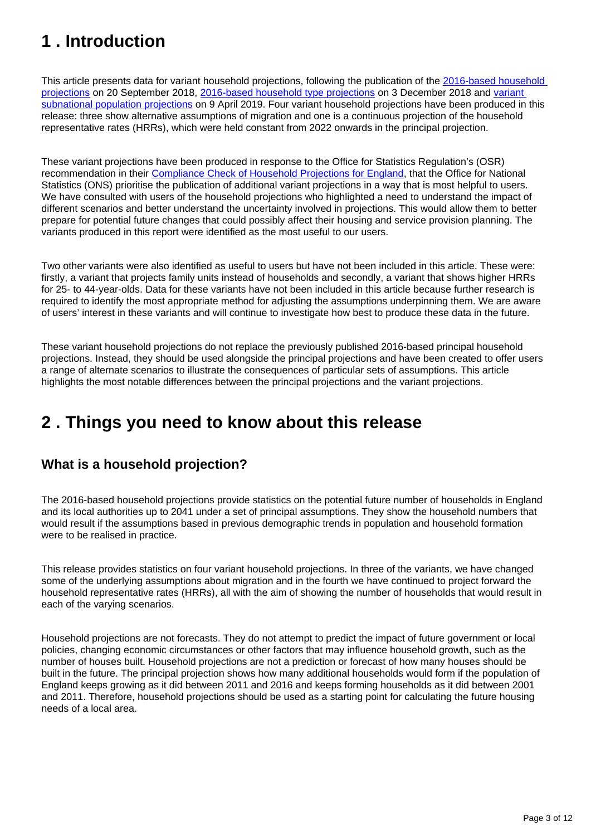## <span id="page-2-0"></span>**1 . Introduction**

This article presents data for variant household projections, following the publication of the 2016-based household [projections](https://www.ons.gov.uk/peoplepopulationandcommunity/populationandmigration/populationprojections/bulletins/2016basedhouseholdprojectionsinengland/2016basedhouseholdprojectionsinengland) on 20 September 2018, [2016-based household type projections](https://www.ons.gov.uk/peoplepopulationandcommunity/populationandmigration/populationprojections/bulletins/2016basedhouseholdprojectionsinengland/2016based) on 3 December 2018 and variant [subnational population projections](https://www.ons.gov.uk/peoplepopulationandcommunity/populationandmigration/populationprojections/bulletins/variantsubnationalpopulationprojectionsforengland/2016based) on 9 April 2019. Four variant household projections have been produced in this release: three show alternative assumptions of migration and one is a continuous projection of the household representative rates (HRRs), which were held constant from 2022 onwards in the principal projection.

These variant projections have been produced in response to the Office for Statistics Regulation's (OSR) recommendation in their [Compliance Check of Household Projections for England,](https://www.statisticsauthority.gov.uk/correspondence/compliance-check-of-household-projections-for-england/) that the Office for National Statistics (ONS) prioritise the publication of additional variant projections in a way that is most helpful to users. We have consulted with users of the household projections who highlighted a need to understand the impact of different scenarios and better understand the uncertainty involved in projections. This would allow them to better prepare for potential future changes that could possibly affect their housing and service provision planning. The variants produced in this report were identified as the most useful to our users.

Two other variants were also identified as useful to users but have not been included in this article. These were: firstly, a variant that projects family units instead of households and secondly, a variant that shows higher HRRs for 25- to 44-year-olds. Data for these variants have not been included in this article because further research is required to identify the most appropriate method for adjusting the assumptions underpinning them. We are aware of users' interest in these variants and will continue to investigate how best to produce these data in the future.

These variant household projections do not replace the previously published 2016-based principal household projections. Instead, they should be used alongside the principal projections and have been created to offer users a range of alternate scenarios to illustrate the consequences of particular sets of assumptions. This article highlights the most notable differences between the principal projections and the variant projections.

## <span id="page-2-1"></span>**2 . Things you need to know about this release**

### **What is a household projection?**

The 2016-based household projections provide statistics on the potential future number of households in England and its local authorities up to 2041 under a set of principal assumptions. They show the household numbers that would result if the assumptions based in previous demographic trends in population and household formation were to be realised in practice.

This release provides statistics on four variant household projections. In three of the variants, we have changed some of the underlying assumptions about migration and in the fourth we have continued to project forward the household representative rates (HRRs), all with the aim of showing the number of households that would result in each of the varying scenarios.

Household projections are not forecasts. They do not attempt to predict the impact of future government or local policies, changing economic circumstances or other factors that may influence household growth, such as the number of houses built. Household projections are not a prediction or forecast of how many houses should be built in the future. The principal projection shows how many additional households would form if the population of England keeps growing as it did between 2011 and 2016 and keeps forming households as it did between 2001 and 2011. Therefore, household projections should be used as a starting point for calculating the future housing needs of a local area.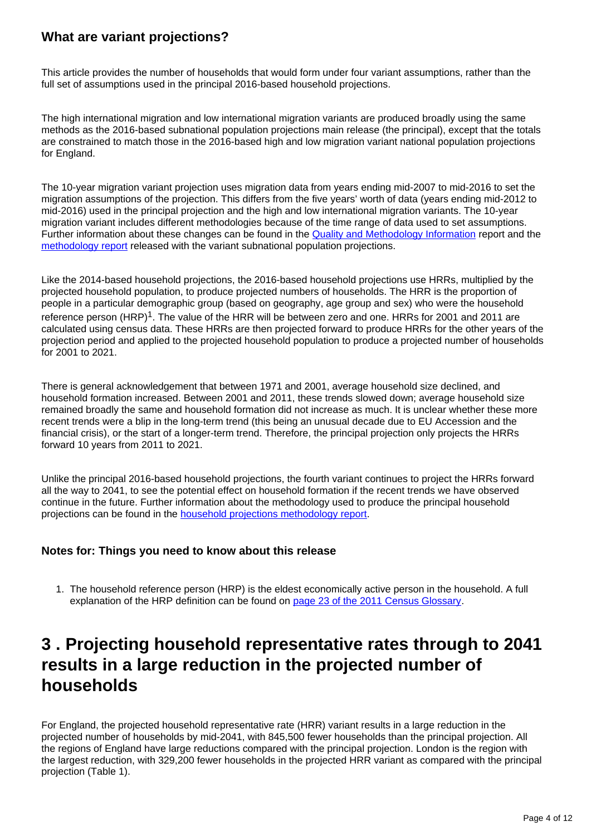### **What are variant projections?**

This article provides the number of households that would form under four variant assumptions, rather than the full set of assumptions used in the principal 2016-based household projections.

The high international migration and low international migration variants are produced broadly using the same methods as the 2016-based subnational population projections main release (the principal), except that the totals are constrained to match those in the 2016-based high and low migration variant national population projections for England.

The 10-year migration variant projection uses migration data from years ending mid-2007 to mid-2016 to set the migration assumptions of the projection. This differs from the five years' worth of data (years ending mid-2012 to mid-2016) used in the principal projection and the high and low international migration variants. The 10-year migration variant includes different methodologies because of the time range of data used to set assumptions. Further information about these changes can be found in the [Quality and Methodology Information](https://www.ons.gov.uk/peoplepopulationandcommunity/populationandmigration/populationprojections/methodologies/subnationalpopulationprojectionsqmi) report and the [methodology report](https://www.ons.gov.uk/peoplepopulationandcommunity/populationandmigration/populationprojections/methodologies/methodologyusedtoproducethe2016basedsubnationalpopulationprojectionsforengland) released with the variant subnational population projections.

Like the 2014-based household projections, the 2016-based household projections use HRRs, multiplied by the projected household population, to produce projected numbers of households. The HRR is the proportion of people in a particular demographic group (based on geography, age group and sex) who were the household reference person  $(HRP)^1$ . The value of the HRR will be between zero and one. HRRs for 2001 and 2011 are calculated using census data. These HRRs are then projected forward to produce HRRs for the other years of the projection period and applied to the projected household population to produce a projected number of households for 2001 to 2021.

There is general acknowledgement that between 1971 and 2001, average household size declined, and household formation increased. Between 2001 and 2011, these trends slowed down; average household size remained broadly the same and household formation did not increase as much. It is unclear whether these more recent trends were a blip in the long-term trend (this being an unusual decade due to EU Accession and the financial crisis), or the start of a longer-term trend. Therefore, the principal projection only projects the HRRs forward 10 years from 2011 to 2021.

Unlike the principal 2016-based household projections, the fourth variant continues to project the HRRs forward all the way to 2041, to see the potential effect on household formation if the recent trends we have observed continue in the future. Further information about the methodology used to produce the principal household projections can be found in the [household projections methodology report.](https://www.ons.gov.uk/peoplepopulationandcommunity/populationandmigration/populationprojections/methodologies/methodologyusedtoproducehouseholdprojectionsforengland2016based)

#### **Notes for: Things you need to know about this release**

1. The household reference person (HRP) is the eldest economically active person in the household. A full explanation of the HRP definition can be found on [page 23 of the 2011 Census Glossary.](https://www.ons.gov.uk/census/2011census/2011censusdata/2011censususerguide/glossary)

## <span id="page-3-0"></span>**3 . Projecting household representative rates through to 2041 results in a large reduction in the projected number of households**

For England, the projected household representative rate (HRR) variant results in a large reduction in the projected number of households by mid-2041, with 845,500 fewer households than the principal projection. All the regions of England have large reductions compared with the principal projection. London is the region with the largest reduction, with 329,200 fewer households in the projected HRR variant as compared with the principal projection (Table 1).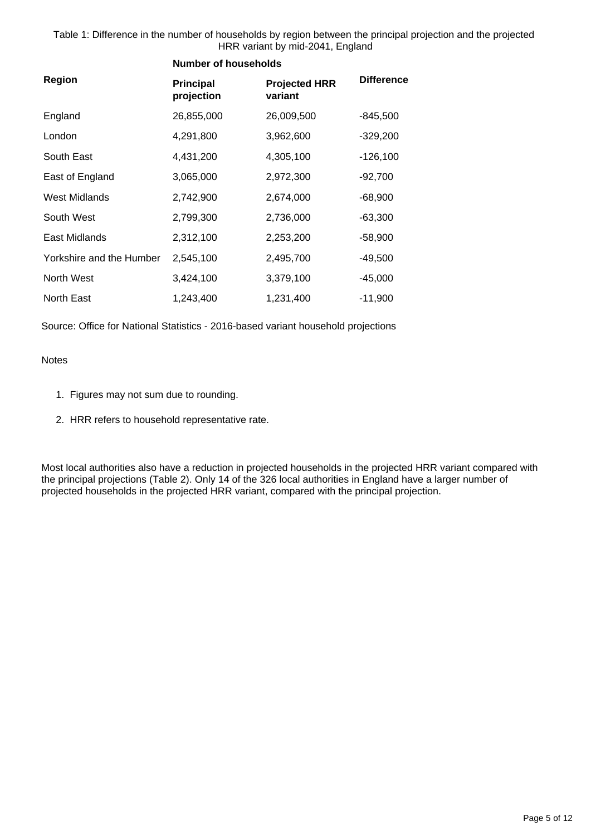Table 1: Difference in the number of households by region between the principal projection and the projected HRR variant by mid-2041, England

|                          | <b>Number of households</b>    |                                 |                   |
|--------------------------|--------------------------------|---------------------------------|-------------------|
| Region                   | <b>Principal</b><br>projection | <b>Projected HRR</b><br>variant | <b>Difference</b> |
| England                  | 26,855,000                     | 26,009,500                      | $-845,500$        |
| London                   | 4,291,800                      | 3,962,600                       | $-329,200$        |
| South East               | 4,431,200                      | 4,305,100                       | $-126,100$        |
| East of England          | 3,065,000                      | 2,972,300                       | $-92,700$         |
| West Midlands            | 2,742,900                      | 2,674,000                       | $-68,900$         |
| South West               | 2,799,300                      | 2,736,000                       | $-63,300$         |
| East Midlands            | 2,312,100                      | 2,253,200                       | $-58,900$         |
| Yorkshire and the Humber | 2,545,100                      | 2,495,700                       | $-49,500$         |
| North West               | 3,424,100                      | 3,379,100                       | $-45,000$         |
| North East               | 1,243,400                      | 1,231,400                       | $-11,900$         |

Source: Office for National Statistics - 2016-based variant household projections

Notes

- 1. Figures may not sum due to rounding.
- 2. HRR refers to household representative rate.

Most local authorities also have a reduction in projected households in the projected HRR variant compared with the principal projections (Table 2). Only 14 of the 326 local authorities in England have a larger number of projected households in the projected HRR variant, compared with the principal projection.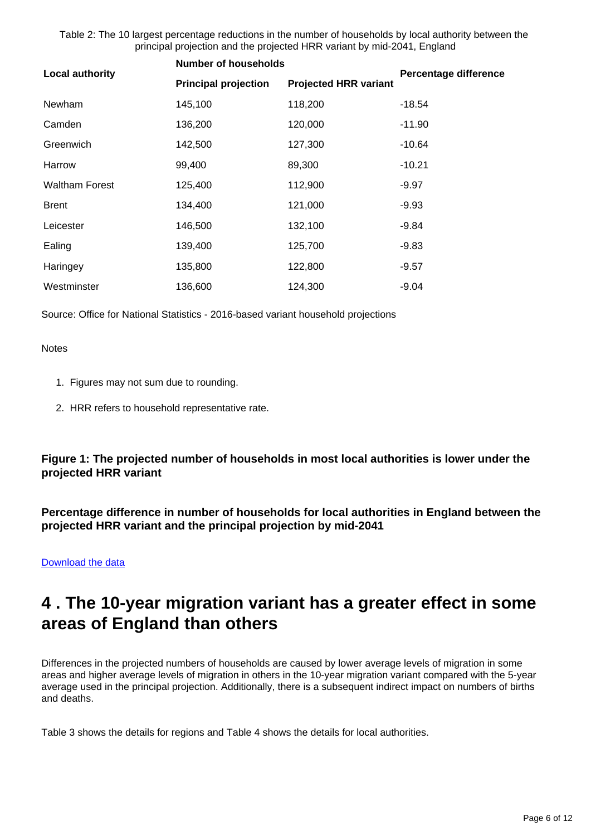Table 2: The 10 largest percentage reductions in the number of households by local authority between the principal projection and the projected HRR variant by mid-2041, England

| <b>Local authority</b> | <b>Number of households</b> |                              | <b>Percentage difference</b> |
|------------------------|-----------------------------|------------------------------|------------------------------|
|                        | <b>Principal projection</b> | <b>Projected HRR variant</b> |                              |
| Newham                 | 145,100                     | 118,200                      | -18.54                       |
| Camden                 | 136,200                     | 120,000                      | $-11.90$                     |
| Greenwich              | 142,500                     | 127,300                      | $-10.64$                     |
| Harrow                 | 99,400                      | 89,300                       | $-10.21$                     |
| <b>Waltham Forest</b>  | 125,400                     | 112,900                      | $-9.97$                      |
| <b>Brent</b>           | 134,400                     | 121,000                      | $-9.93$                      |
| Leicester              | 146,500                     | 132,100                      | -9.84                        |
| Ealing                 | 139,400                     | 125,700                      | $-9.83$                      |
| Haringey               | 135,800                     | 122,800                      | $-9.57$                      |
| Westminster            | 136,600                     | 124,300                      | $-9.04$                      |

Source: Office for National Statistics - 2016-based variant household projections

**Notes** 

- 1. Figures may not sum due to rounding.
- 2. HRR refers to household representative rate.

**Figure 1: The projected number of households in most local authorities is lower under the projected HRR variant**

**Percentage difference in number of households for local authorities in England between the projected HRR variant and the principal projection by mid-2041**

[Download the data](https://www.ons.gov.uk/visualisations/dvc624/la_map/variant_comparison_map.csv)

## <span id="page-5-0"></span>**4 . The 10-year migration variant has a greater effect in some areas of England than others**

Differences in the projected numbers of households are caused by lower average levels of migration in some areas and higher average levels of migration in others in the 10-year migration variant compared with the 5-year average used in the principal projection. Additionally, there is a subsequent indirect impact on numbers of births and deaths.

Table 3 shows the details for regions and Table 4 shows the details for local authorities.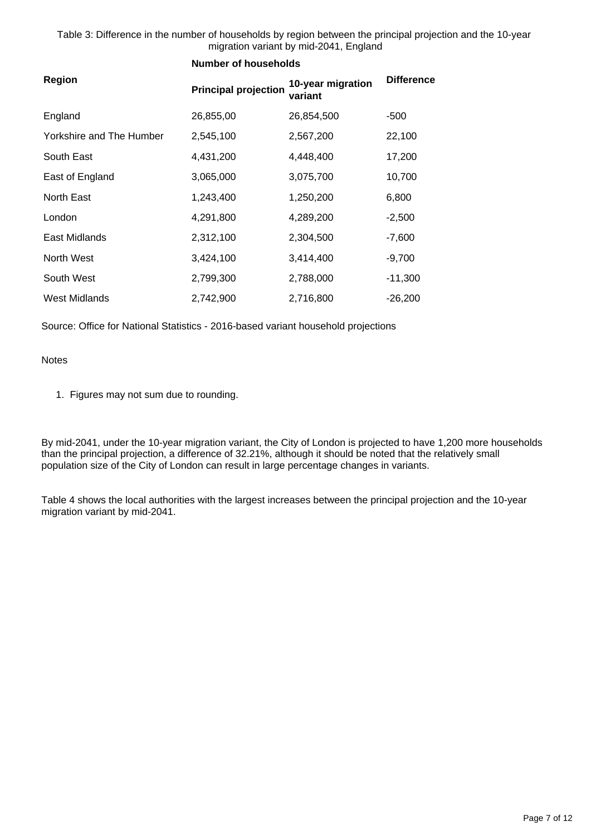Table 3: Difference in the number of households by region between the principal projection and the 10-year migration variant by mid-2041, England

|                          | <b>Number of households</b> |                              |                   |
|--------------------------|-----------------------------|------------------------------|-------------------|
| <b>Region</b>            | <b>Principal projection</b> | 10-year migration<br>variant | <b>Difference</b> |
| England                  | 26,855,00                   | 26,854,500                   | $-500$            |
| Yorkshire and The Humber | 2,545,100                   | 2,567,200                    | 22,100            |
| South East               | 4,431,200                   | 4,448,400                    | 17,200            |
| East of England          | 3,065,000                   | 3,075,700                    | 10,700            |
| North East               | 1,243,400                   | 1,250,200                    | 6,800             |
| London                   | 4,291,800                   | 4,289,200                    | $-2,500$          |
| East Midlands            | 2,312,100                   | 2,304,500                    | $-7,600$          |
| North West               | 3,424,100                   | 3,414,400                    | $-9,700$          |
| South West               | 2,799,300                   | 2,788,000                    | $-11,300$         |
| <b>West Midlands</b>     | 2,742,900                   | 2,716,800                    | $-26,200$         |

Source: Office for National Statistics - 2016-based variant household projections

#### Notes

1. Figures may not sum due to rounding.

By mid-2041, under the 10-year migration variant, the City of London is projected to have 1,200 more households than the principal projection, a difference of 32.21%, although it should be noted that the relatively small population size of the City of London can result in large percentage changes in variants.

Table 4 shows the local authorities with the largest increases between the principal projection and the 10-year migration variant by mid-2041.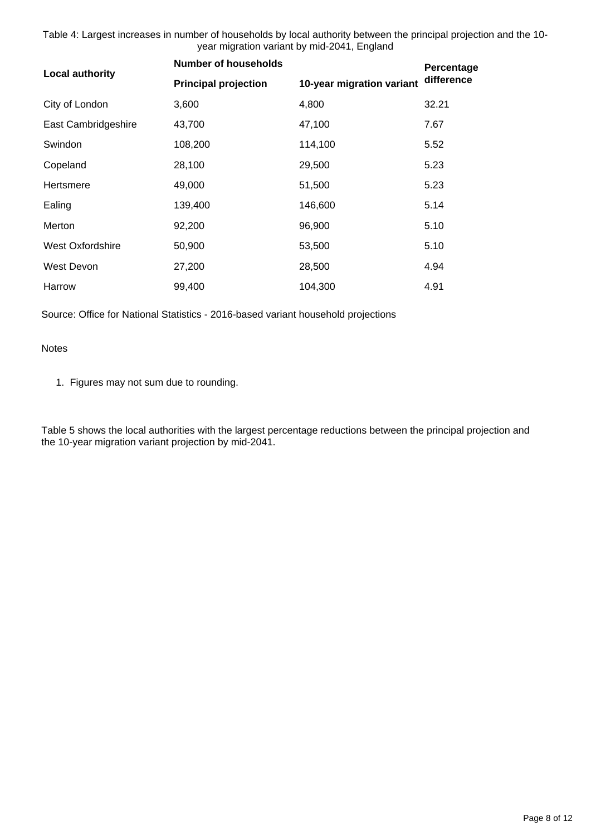Table 4: Largest increases in number of households by local authority between the principal projection and the 10 year migration variant by mid-2041, England

| <b>Local authority</b> | <b>Number of households</b> | Percentage                |            |
|------------------------|-----------------------------|---------------------------|------------|
|                        | <b>Principal projection</b> | 10-year migration variant | difference |
| City of London         | 3,600                       | 4,800                     | 32.21      |
| East Cambridgeshire    | 43,700                      | 47,100                    | 7.67       |
| Swindon                | 108,200                     | 114,100                   | 5.52       |
| Copeland               | 28,100                      | 29,500                    | 5.23       |
| Hertsmere              | 49,000                      | 51,500                    | 5.23       |
| Ealing                 | 139,400                     | 146,600                   | 5.14       |
| Merton                 | 92,200                      | 96,900                    | 5.10       |
| West Oxfordshire       | 50,900                      | 53,500                    | 5.10       |
| West Devon             | 27,200                      | 28,500                    | 4.94       |
| Harrow                 | 99,400                      | 104,300                   | 4.91       |

Source: Office for National Statistics - 2016-based variant household projections

Notes

1. Figures may not sum due to rounding.

Table 5 shows the local authorities with the largest percentage reductions between the principal projection and the 10-year migration variant projection by mid-2041.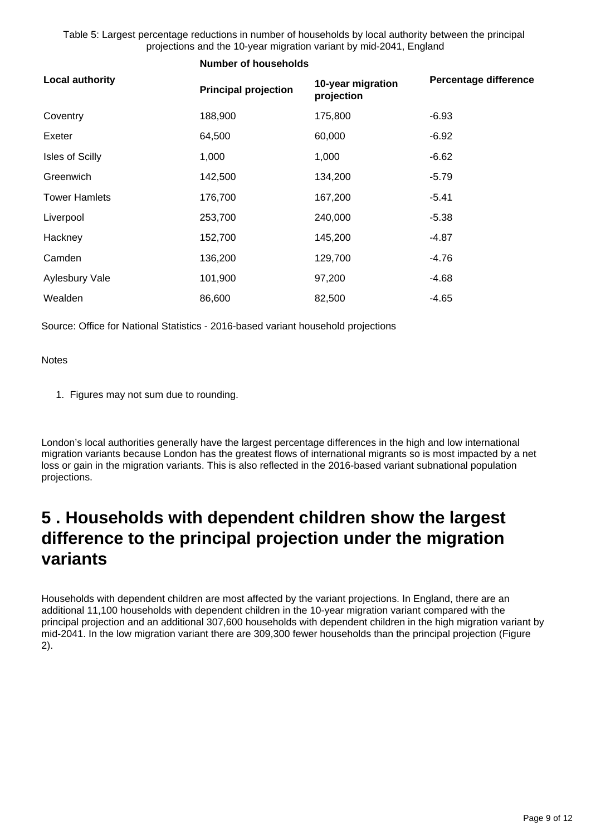Table 5: Largest percentage reductions in number of households by local authority between the principal projections and the 10-year migration variant by mid-2041, England

**Number of households**

| <b>Local authority</b> | <b>Principal projection</b> | 10-year migration<br>projection | <b>Percentage difference</b> |
|------------------------|-----------------------------|---------------------------------|------------------------------|
| Coventry               | 188,900                     | 175,800                         | $-6.93$                      |
| Exeter                 | 64,500                      | 60,000                          | $-6.92$                      |
| <b>Isles of Scilly</b> | 1,000                       | 1,000                           | $-6.62$                      |
| Greenwich              | 142,500                     | 134,200                         | $-5.79$                      |
| <b>Tower Hamlets</b>   | 176,700                     | 167,200                         | $-5.41$                      |
| Liverpool              | 253,700                     | 240,000                         | $-5.38$                      |
| Hackney                | 152,700                     | 145,200                         | -4.87                        |
| Camden                 | 136,200                     | 129,700                         | -4.76                        |
| Aylesbury Vale         | 101,900                     | 97,200                          | $-4.68$                      |
| Wealden                | 86,600                      | 82,500                          | -4.65                        |

Source: Office for National Statistics - 2016-based variant household projections

**Notes** 

1. Figures may not sum due to rounding.

London's local authorities generally have the largest percentage differences in the high and low international migration variants because London has the greatest flows of international migrants so is most impacted by a net loss or gain in the migration variants. This is also reflected in the 2016-based variant subnational population projections.

## <span id="page-8-0"></span>**5 . Households with dependent children show the largest difference to the principal projection under the migration variants**

Households with dependent children are most affected by the variant projections. In England, there are an additional 11,100 households with dependent children in the 10-year migration variant compared with the principal projection and an additional 307,600 households with dependent children in the high migration variant by mid-2041. In the low migration variant there are 309,300 fewer households than the principal projection (Figure 2).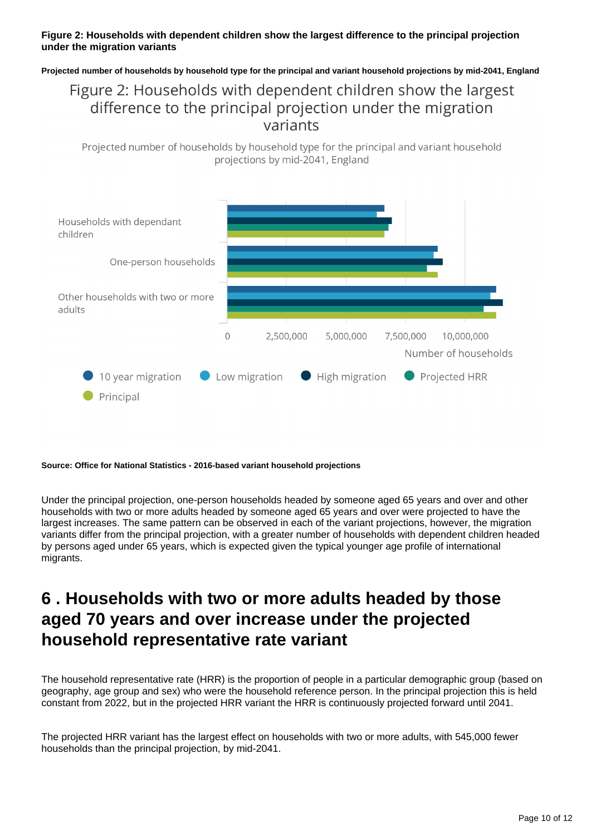#### **Figure 2: Households with dependent children show the largest difference to the principal projection under the migration variants**

**Projected number of households by household type for the principal and variant household projections by mid-2041, England**

### Figure 2: Households with dependent children show the largest difference to the principal projection under the migration variants

Projected number of households by household type for the principal and variant household projections by mid-2041, England



#### **Source: Office for National Statistics - 2016-based variant household projections**

Under the principal projection, one-person households headed by someone aged 65 years and over and other households with two or more adults headed by someone aged 65 years and over were projected to have the largest increases. The same pattern can be observed in each of the variant projections, however, the migration variants differ from the principal projection, with a greater number of households with dependent children headed by persons aged under 65 years, which is expected given the typical younger age profile of international migrants.

### <span id="page-9-0"></span>**6 . Households with two or more adults headed by those aged 70 years and over increase under the projected household representative rate variant**

The household representative rate (HRR) is the proportion of people in a particular demographic group (based on geography, age group and sex) who were the household reference person. In the principal projection this is held constant from 2022, but in the projected HRR variant the HRR is continuously projected forward until 2041.

The projected HRR variant has the largest effect on households with two or more adults, with 545,000 fewer households than the principal projection, by mid-2041.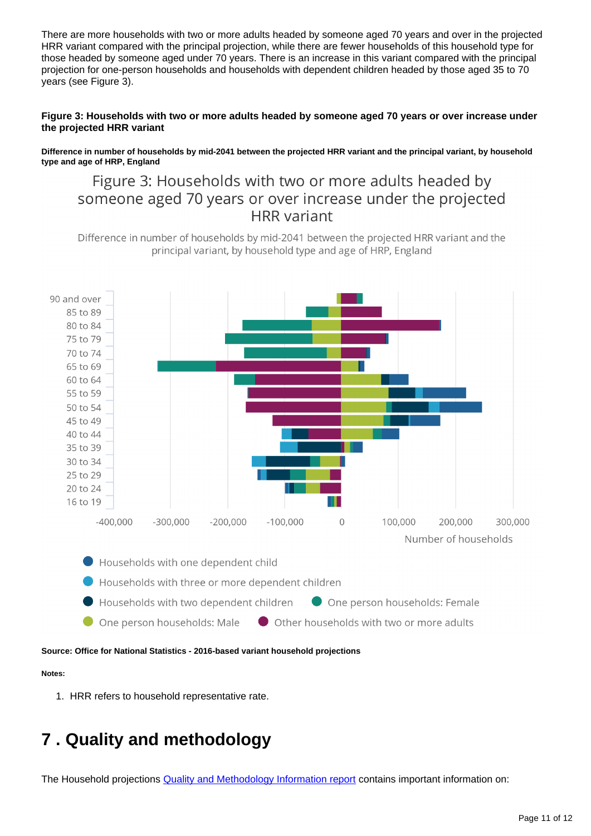There are more households with two or more adults headed by someone aged 70 years and over in the projected HRR variant compared with the principal projection, while there are fewer households of this household type for those headed by someone aged under 70 years. There is an increase in this variant compared with the principal projection for one-person households and households with dependent children headed by those aged 35 to 70 years (see Figure 3).

#### **Figure 3: Households with two or more adults headed by someone aged 70 years or over increase under the projected HRR variant**

**Difference in number of households by mid-2041 between the projected HRR variant and the principal variant, by household type and age of HRP, England**

### Figure 3: Households with two or more adults headed by someone aged 70 years or over increase under the projected **HRR** variant

Difference in number of households by mid-2041 between the projected HRR variant and the principal variant, by household type and age of HRP, England



**Source: Office for National Statistics - 2016-based variant household projections**

#### **Notes:**

1. HRR refers to household representative rate.

## <span id="page-10-0"></span>**7 . Quality and methodology**

The Household projections **[Quality and Methodology Information report](https://www.ons.gov.uk/peoplepopulationandcommunity/populationandmigration/populationprojections/methodologies/householdprojectionsinenglandqmi) contains important information on:**